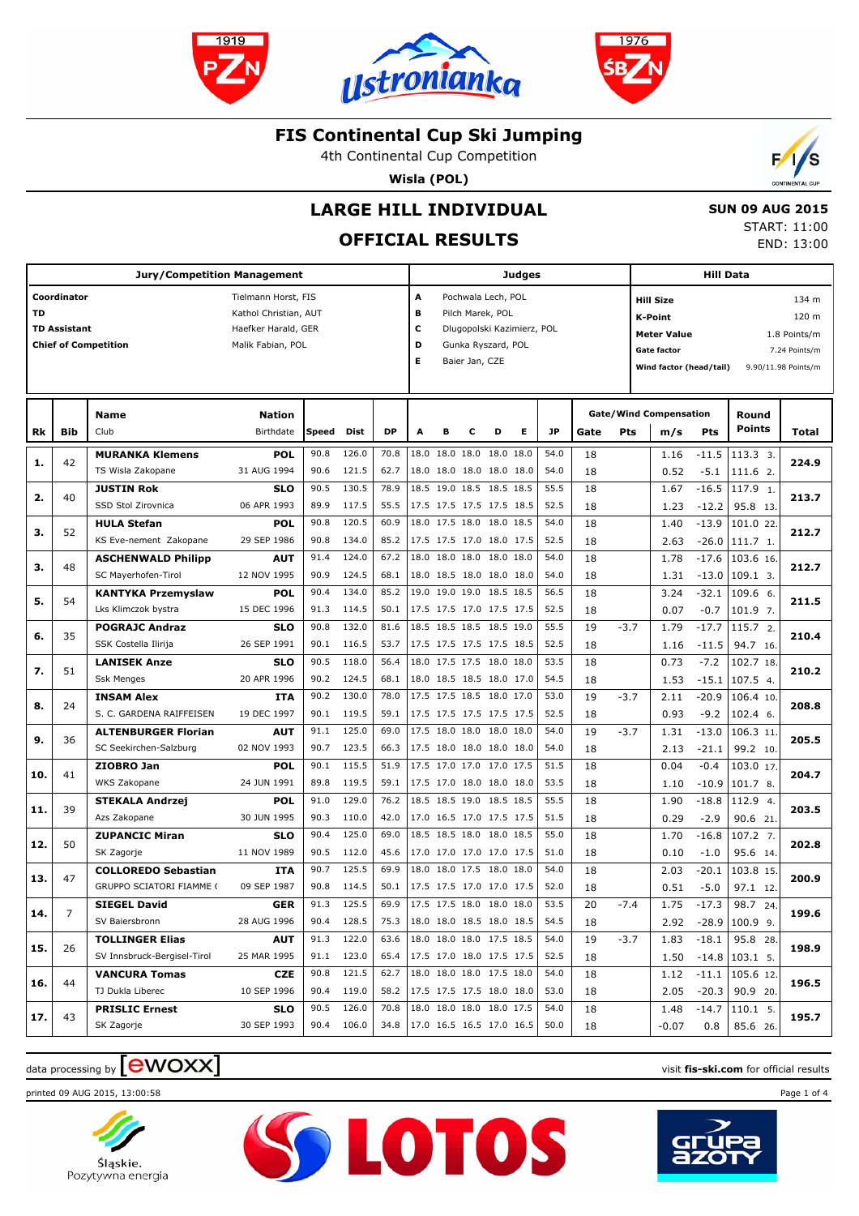





4th Continental Cup Competition

**Wisla (POL)**



# **LARGE HILL INDIVIDUAL**

## **OFFICIAL RESULTS**

 **SUN 09 AUG 2015** START: 11:00 END: 13:00

|     |                                    | <b>Jury/Competition Management</b>                     |                                                                                          |              |                     |              |                                 |                |                |                                                                                            | <b>Judges</b> |              |          |        |                                                                                                           | <b>Hill Data</b>   |                                         |                                                                        |
|-----|------------------------------------|--------------------------------------------------------|------------------------------------------------------------------------------------------|--------------|---------------------|--------------|---------------------------------|----------------|----------------|--------------------------------------------------------------------------------------------|---------------|--------------|----------|--------|-----------------------------------------------------------------------------------------------------------|--------------------|-----------------------------------------|------------------------------------------------------------------------|
| TD  | Coordinator<br><b>TD Assistant</b> | <b>Chief of Competition</b>                            | Tielmann Horst, FIS<br>Kathol Christian, AUT<br>Haefker Harald, GER<br>Malik Fabian, POL |              |                     |              | A<br>в<br>c<br>D<br>Е           |                | Baier Jan, CZE | Pochwala Lech, POL<br>Pilch Marek, POL<br>Dlugopolski Kazimierz, POL<br>Gunka Ryszard, POL |               |              |          |        | <b>Hill Size</b><br><b>K-Point</b><br><b>Meter Value</b><br><b>Gate factor</b><br>Wind factor (head/tail) |                    |                                         | 134 m<br>120 m<br>1.8 Points/m<br>7.24 Points/m<br>9.90/11.98 Points/m |
| Rk  | Bib                                | <b>Name</b><br>Club                                    | <b>Nation</b><br>Birthdate                                                               | Speed        | <b>Dist</b>         | <b>DP</b>    | A                               | в              | c              | D                                                                                          | Е             | <b>JP</b>    | Gate     | Pts    | <b>Gate/Wind Compensation</b><br>m/s                                                                      | Pts                | Round<br>Points                         | Total                                                                  |
| 1.  | 42                                 | <b>MURANKA Klemens</b><br>TS Wisla Zakopane            | POL<br>31 AUG 1994                                                                       | 90.8<br>90.6 | 126.0<br>121.5      | 70.8<br>62.7 |                                 | 18.0 18.0 18.0 |                | 18.0 18.0<br>18.0 18.0 18.0 18.0 18.0                                                      |               | 54.0<br>54.0 | 18<br>18 |        | 1.16<br>0.52                                                                                              | $-11.5$<br>$-5.1$  | 113.3 3.<br>111.6 2.                    | 224.9                                                                  |
| 2.  | 40                                 | <b>JUSTIN Rok</b><br>SSD Stol Zirovnica                | <b>SLO</b><br>06 APR 1993                                                                | 90.5<br>89.9 | 130.5<br>117.5      | 78.9<br>55.5 |                                 |                |                | 18.5 19.0 18.5 18.5 18.5<br>17.5 17.5 17.5 17.5 18.5                                       |               | 55.5<br>52.5 | 18<br>18 |        | 1.67<br>1.23                                                                                              | $-16.5$<br>$-12.2$ | 117.9 1.<br>95.8 13.                    | 213.7                                                                  |
| з.  | 52                                 | <b>HULA Stefan</b><br>KS Eve-nement Zakopane           | <b>POL</b><br>29 SEP 1986                                                                | 90.8<br>90.8 | 120.5<br>134.0      | 60.9<br>85.2 |                                 |                |                | 18.0 17.5 18.0 18.0 18.5<br>17.5 17.5 17.0 18.0 17.5                                       |               | 54.0<br>52.5 | 18<br>18 |        | 1.40<br>2.63                                                                                              | $-13.9$<br>$-26.0$ | 101.0 22.<br>111.7 1.                   | 212.7                                                                  |
| з.  | 48                                 | <b>ASCHENWALD Philipp</b><br>SC Mayerhofen-Tirol       | <b>AUT</b><br>12 NOV 1995                                                                | 91.4<br>90.9 | 124.0<br>124.5      | 67.2<br>68.1 |                                 |                |                | 18.0 18.0 18.0 18.0 18.0<br>18.0 18.5 18.0 18.0 18.0                                       |               | 54.0<br>54.0 | 18<br>18 |        | 1.78<br>1.31                                                                                              | $-17.6$<br>$-13.0$ | 103.6 16.<br>$109.1$ 3.                 | 212.7                                                                  |
| 5.  | 54                                 | <b>KANTYKA Przemyslaw</b><br>Lks Klimczok bystra       | <b>POL</b><br>15 DEC 1996                                                                | 90.4<br>91.3 | 134.0<br>114.5      | 85.2<br>50.1 |                                 |                |                | 19.0 19.0 19.0 18.5 18.5<br>17.5 17.5 17.0 17.5 17.5                                       |               | 56.5<br>52.5 | 18<br>18 |        | 3.24<br>0.07                                                                                              | $-32.1$<br>$-0.7$  | 109.6 6.<br>101.9 7.                    | 211.5                                                                  |
| 6.  | 35                                 | <b>POGRAJC Andraz</b><br>SSK Costella Ilirija          | <b>SLO</b><br>26 SEP 1991                                                                | 90.8<br>90.1 | 132.0<br>116.5      | 81.6<br>53.7 |                                 |                |                | 18.5 18.5 18.5 18.5 19.0<br>17.5 17.5 17.5 17.5 18.5                                       |               | 55.5<br>52.5 | 19<br>18 | $-3.7$ | 1.79<br>1.16                                                                                              | $-17.7$<br>$-11.5$ | 115.7 2.<br>94.7 16.                    | 210.4                                                                  |
| 7.  | 51                                 | <b>LANISEK Anze</b>                                    | <b>SLO</b><br>20 APR 1996                                                                | 90.5<br>90.2 | 118.0<br>124.5      | 56.4         |                                 |                |                | 18.0 17.5 17.5 18.0 18.0<br>18.0 18.5 18.5 18.0 17.0                                       |               | 53.5<br>54.5 | 18       |        | 0.73                                                                                                      | $-7.2$             | 102.7 18.                               | 210.2                                                                  |
| 8.  | 24                                 | <b>Ssk Menges</b><br><b>INSAM Alex</b>                 | <b>ITA</b>                                                                               | 90.2         | 130.0               | 68.1<br>78.0 |                                 |                |                | 17.5 17.5 18.5 18.0 17.0                                                                   |               | 53.0         | 18<br>19 | $-3.7$ | 1.53<br>2.11                                                                                              | $-15.1$<br>$-20.9$ | 107.5 4.<br>106.4 10.                   | 208.8                                                                  |
| 9.  | 36                                 | S. C. GARDENA RAIFFEISEN<br><b>ALTENBURGER Florian</b> | 19 DEC 1997<br><b>AUT</b>                                                                | 90.1<br>91.1 | 119.5<br>125.0      | 59.1<br>69.0 |                                 |                |                | 17.5 17.5 17.5 17.5 17.5<br>17.5 18.0 18.0 18.0 18.0                                       |               | 52.5<br>54.0 | 18<br>19 | $-3.7$ | 0.93<br>1.31                                                                                              | $-9.2$<br>$-13.0$  | $102.4$ 6.<br>106.3 11                  | 205.5                                                                  |
| 10. | 41                                 | SC Seekirchen-Salzburg<br>ZIOBRO Jan                   | 02 NOV 1993<br><b>POL</b>                                                                | 90.7<br>90.1 | 123.5<br>115.5      | 66.3<br>51.9 |                                 |                |                | 17.5 18.0 18.0 18.0 18.0<br>17.5 17.0 17.0 17.0 17.5                                       |               | 54.0<br>51.5 | 18<br>18 |        | 2.13<br>0.04                                                                                              | $-21.1$<br>$-0.4$  | 99.2 10.<br>103.0 17.                   | 204.7                                                                  |
|     |                                    | WKS Zakopane<br><b>STEKALA Andrzej</b>                 | 24 JUN 1991<br><b>POL</b>                                                                | 89.8<br>91.0 | 119.5<br>129.0      | 59.1<br>76.2 |                                 |                |                | 17.5 17.0 18.0 18.0 18.0<br>18.5 18.5 19.0 18.5 18.5                                       |               | 53.5<br>55.5 | 18<br>18 |        | 1.10<br>1.90                                                                                              | $-10.9$<br>$-18.8$ | 101.7 8.<br>112.9 4.                    |                                                                        |
| 11. | 39                                 | Azs Zakopane<br><b>ZUPANCIC Miran</b>                  | 30 JUN 1995<br><b>SLO</b>                                                                | 90.3<br>90.4 | 110.0<br>125.0      | 42.0<br>69.0 |                                 |                |                | 17.0 16.5 17.0 17.5 17.5<br>18.5 18.5 18.0 18.0 18.5                                       |               | 51.5<br>55.0 | 18<br>18 |        | 0.29<br>1.70                                                                                              | $-2.9$<br>$-16.8$  | 90.6 21.<br>107.2 7.                    | 203.5                                                                  |
| 12. | 50                                 | SK Zagorje<br><b>COLLOREDO Sebastian</b>               | 11 NOV 1989<br><b>ITA</b>                                                                | 90.5<br>90.7 | 112.0<br>125.5      | 45.6<br>69.9 |                                 |                |                | 17.0 17.0 17.0 17.0 17.5<br>18.0 18.0 17.5 18.0 18.0                                       |               | 51.0<br>54.0 | 18<br>18 |        | 0.10<br>2.03                                                                                              | $-1.0$<br>$-20.1$  | 95.6 14.<br>103.8 15.                   | 202.8                                                                  |
| 13. | 47                                 | <b>GRUPPO SCIATORI FIAMME (</b>                        | 09 SEP 1987                                                                              | 90.8         | 114.5               | 50.1         |                                 |                |                | 17.5 17.5 17.0 17.0 17.5                                                                   |               | 52.0         | 18       |        | 0.51                                                                                                      | $-5.0$             | 97.1 12.                                | 200.9                                                                  |
| 14. | 7                                  | <b>SIEGEL David</b><br>SV Baiersbronn                  | GER<br>28 AUG 1996                                                                       | 91.3<br>90.4 | 125.5<br>128.5      | 69.9         | 75.3   18.0 18.0 18.5 18.0 18.5 |                |                | 17.5 17.5 18.0 18.0 18.0                                                                   |               | 53.5<br>54.5 | 20<br>18 | $-7.4$ | 1.75<br>2.92                                                                                              | $-17.3$            | 98.7 24.<br>$-28.9$   100.9 9.          | 199.6                                                                  |
| 15. | 26                                 | <b>TOLLINGER Elias</b><br>SV Innsbruck-Bergisel-Tirol  | <b>AUT</b><br>25 MAR 1995                                                                | 91.3         | 122.0<br>91.1 123.0 | 63.6<br>65.4 | 17.5 17.0 18.0 17.5 17.5        |                |                | 18.0 18.0 18.0 17.5 18.5                                                                   |               | 54.0<br>52.5 | 19<br>18 | $-3.7$ | 1.83<br>1.50                                                                                              | $-18.1$            | 95.8 28.<br>$-14.8$   103.1 5.          | 198.9                                                                  |
| 16. | 44                                 | <b>VANCURA Tomas</b><br>TJ Dukla Liberec               | CZE<br>10 SEP 1996                                                                       | 90.8         | 121.5<br>90.4 119.0 | 62.7<br>58.2 |                                 |                |                | 18.0 18.0 18.0 17.5 18.0<br>17.5 17.5 17.5 18.0 18.0                                       |               | 54.0<br>53.0 | 18<br>18 |        | 1.12<br>2.05                                                                                              |                    | $-11.1$   105.6 12.<br>$-20.3$ 90.9 20. | 196.5                                                                  |
| 17. | 43                                 | <b>PRISLIC Ernest</b><br>SK Zagorje                    | <b>SLO</b><br>30 SEP 1993                                                                | 90.5         | 126.0<br>90.4 106.0 | 70.8         | 34.8   17.0 16.5 16.5 17.0 16.5 |                |                | 18.0 18.0 18.0 18.0 17.5                                                                   |               | 54.0<br>50.0 | 18<br>18 |        | 1.48<br>$-0.07$                                                                                           | -14.7<br>0.8       | 110.1 5.<br>85.6 26.                    | 195.7                                                                  |
|     |                                    |                                                        |                                                                                          |              |                     |              |                                 |                |                |                                                                                            |               |              |          |        |                                                                                                           |                    |                                         |                                                                        |

SS LOTOS

# data processing by **CWOXX** and  $\blacksquare$  and  $\blacksquare$  and  $\blacksquare$  and  $\blacksquare$  and  $\blacksquare$  and  $\blacksquare$  and  $\blacksquare$  and  $\blacksquare$  and  $\blacksquare$  and  $\blacksquare$  and  $\blacksquare$  and  $\blacksquare$  and  $\blacksquare$  and  $\blacksquare$  and  $\blacksquare$  and  $\blacksquare$  and  $\blacksquare$  and  $\blacks$

printed 09 AUG 2015, 13:00:58 Page 1 of 4



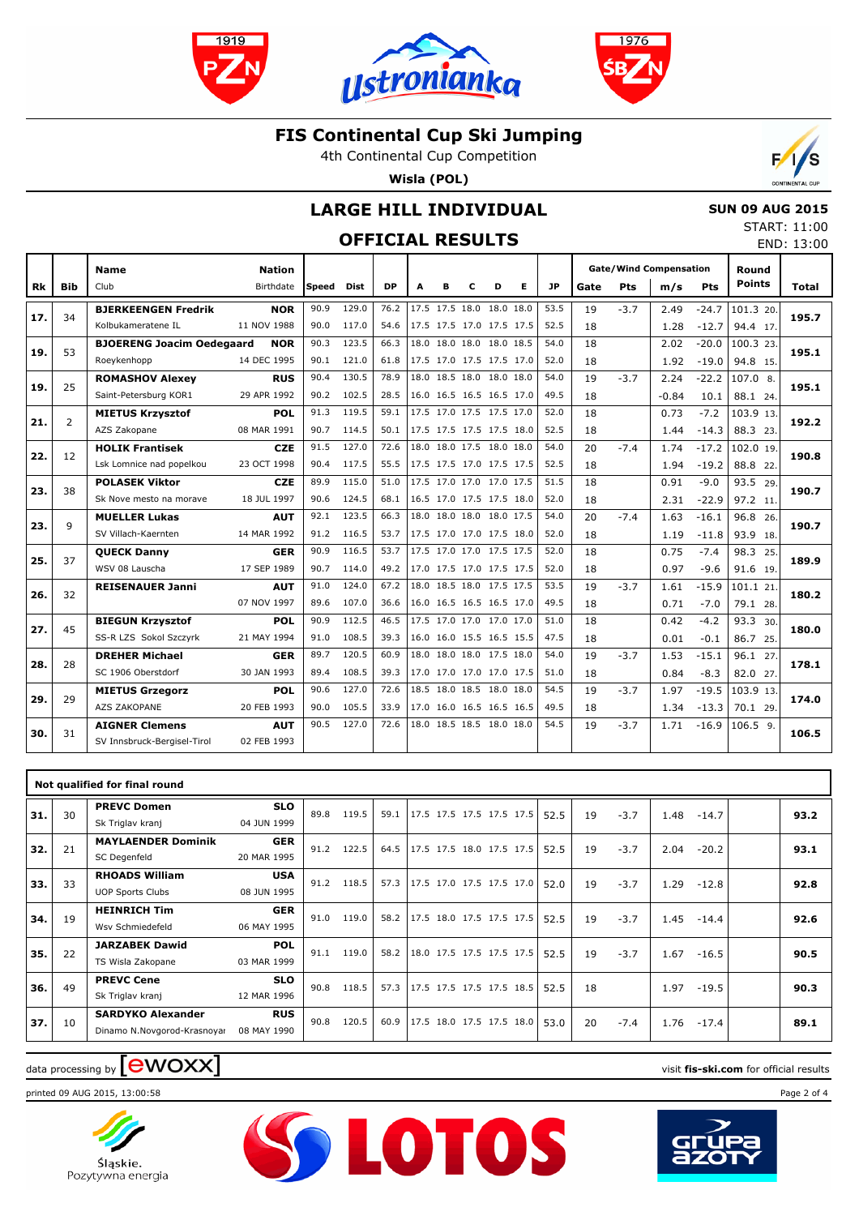





4th Continental Cup Competition

**Wisla (POL)**



## **LARGE HILL INDIVIDUAL**

### **OFFICIAL RESULTS**

| <b>SUN 09 AUG 2015</b> |              |  |
|------------------------|--------------|--|
|                        | START: 11:00 |  |
|                        | END: 13:00   |  |

|     |                |                                  |               |       |       |           |                          |   |   |                          |   |      |      |            |                               |         |                        | LIV <sub>L</sub> . 19.00 |
|-----|----------------|----------------------------------|---------------|-------|-------|-----------|--------------------------|---|---|--------------------------|---|------|------|------------|-------------------------------|---------|------------------------|--------------------------|
|     |                | <b>Name</b>                      | <b>Nation</b> |       |       |           |                          |   |   |                          |   |      |      |            | <b>Gate/Wind Compensation</b> |         | Round<br><b>Points</b> |                          |
| Rk  | <b>Bib</b>     | Club                             | Birthdate     | Speed | Dist  | <b>DP</b> | A                        | в | c | D                        | Е | JP.  | Gate | <b>Pts</b> | m/s                           | Pts     |                        | <b>Total</b>             |
|     |                | <b>BJERKEENGEN Fredrik</b>       | <b>NOR</b>    | 90.9  | 129.0 | 76.2      |                          |   |   | 17.5 17.5 18.0 18.0 18.0 |   | 53.5 | 19   | $-3.7$     | 2.49                          | $-24.7$ | 101.3 20.              |                          |
| 17. | 34             | Kolbukameratene IL               | 11 NOV 1988   | 90.0  | 117.0 | 54.6      |                          |   |   | 17.5 17.5 17.0 17.5 17.5 |   | 52.5 | 18   |            | 1.28                          | $-12.7$ | 94.4 17.               | 195.7                    |
|     | 53             | <b>BJOERENG Joacim Oedegaard</b> | <b>NOR</b>    | 90.3  | 123.5 | 66.3      |                          |   |   | 18.0 18.0 18.0 18.0 18.5 |   | 54.0 | 18   |            | 2.02                          | $-20.0$ | 100.3 23.              | 195.1                    |
| 19. |                | Roeykenhopp                      | 14 DEC 1995   | 90.1  | 121.0 | 61.8      |                          |   |   | 17.5 17.0 17.5 17.5 17.0 |   | 52.0 | 18   |            | 1.92                          | $-19.0$ | 94.8 15.               |                          |
|     | 25             | <b>ROMASHOV Alexey</b>           | <b>RUS</b>    | 90.4  | 130.5 | 78.9      |                          |   |   | 18.0 18.5 18.0 18.0 18.0 |   | 54.0 | 19   | $-3.7$     | 2.24                          | $-22.2$ | $107.0$ 8.             | 195.1                    |
| 19. |                | Saint-Petersburg KOR1            | 29 APR 1992   | 90.2  | 102.5 | 28.5      |                          |   |   | 16.0 16.5 16.5 16.5 17.0 |   | 49.5 | 18   |            | $-0.84$                       | 10.1    | 88.1 24.               |                          |
|     |                | <b>MIETUS Krzysztof</b>          | <b>POL</b>    | 91.3  | 119.5 | 59.1      |                          |   |   | 17.5 17.0 17.5 17.5 17.0 |   | 52.0 | 18   |            | 0.73                          | $-7.2$  | 103.9 13.              | 192.2                    |
| 21. | $\overline{2}$ | AZS Zakopane                     | 08 MAR 1991   | 90.7  | 114.5 | 50.1      |                          |   |   | 17.5 17.5 17.5 17.5 18.0 |   | 52.5 | 18   |            | 1.44                          | $-14.3$ | 88.3 23.               |                          |
|     |                | <b>HOLIK Frantisek</b>           | <b>CZE</b>    | 91.5  | 127.0 | 72.6      |                          |   |   | 18.0 18.0 17.5 18.0 18.0 |   | 54.0 | 20   | $-7.4$     | 1.74                          | $-17.2$ | 102.0 19.              | 190.8                    |
| 22. | 12             | Lsk Lomnice nad popelkou         | 23 OCT 1998   | 90.4  | 117.5 | 55.5      | 17.5 17.5 17.0 17.5 17.5 |   |   |                          |   | 52.5 | 18   |            | 1.94                          | $-19.2$ | 88.8 22.               |                          |
| 23. | 38             | <b>POLASEK Viktor</b>            | <b>CZE</b>    | 89.9  | 115.0 | 51.0      |                          |   |   | 17.5 17.0 17.0 17.0 17.5 |   | 51.5 | 18   |            | 0.91                          | $-9.0$  | 93.5 29.               | 190.7                    |
|     |                | Sk Nove mesto na morave          | 18 JUL 1997   | 90.6  | 124.5 | 68.1      |                          |   |   | 16.5 17.0 17.5 17.5 18.0 |   | 52.0 | 18   |            | 2.31                          | $-22.9$ | 97.2 11.               |                          |
|     | 9              | <b>MUELLER Lukas</b>             | <b>AUT</b>    | 92.1  | 123.5 | 66.3      |                          |   |   | 18.0 18.0 18.0 18.0 17.5 |   | 54.0 | 20   | $-7.4$     | 1.63                          | $-16.1$ | 96.8 26.               | 190.7                    |
| 23. |                | SV Villach-Kaernten              | 14 MAR 1992   | 91.2  | 116.5 | 53.7      |                          |   |   | 17.5 17.0 17.0 17.5 18.0 |   | 52.0 | 18   |            | 1.19                          | $-11.8$ | 93.9 18.               |                          |
| 25. | 37             | <b>QUECK Danny</b>               | <b>GER</b>    | 90.9  | 116.5 | 53.7      |                          |   |   | 17.5 17.0 17.0 17.5 17.5 |   | 52.0 | 18   |            | 0.75                          | $-7.4$  | 98.3 25.               | 189.9                    |
|     |                | WSV 08 Lauscha                   | 17 SEP 1989   | 90.7  | 114.0 | 49.2      | 17.0 17.5 17.0 17.5 17.5 |   |   |                          |   | 52.0 | 18   |            | 0.97                          | $-9.6$  | 91.6 19.               |                          |
| 26. | 32             | <b>REISENAUER Janni</b>          | <b>AUT</b>    | 91.0  | 124.0 | 67.2      |                          |   |   | 18.0 18.5 18.0 17.5 17.5 |   | 53.5 | 19   | $-3.7$     | 1.61                          | $-15.9$ | 101.1 21.              | 180.2                    |
|     |                |                                  | 07 NOV 1997   | 89.6  | 107.0 | 36.6      |                          |   |   | 16.0 16.5 16.5 16.5 17.0 |   | 49.5 | 18   |            | 0.71                          | $-7.0$  | 79.1 28.               |                          |
| 27. | 45             | <b>BIEGUN Krzysztof</b>          | <b>POL</b>    | 90.9  | 112.5 | 46.5      |                          |   |   | 17.5 17.0 17.0 17.0 17.0 |   | 51.0 | 18   |            | 0.42                          | $-4.2$  | 93.3 30.               | 180.0                    |
|     |                | SS-R LZS Sokol Szczyrk           | 21 MAY 1994   | 91.0  | 108.5 | 39.3      | 16.0 16.0 15.5 16.5 15.5 |   |   |                          |   | 47.5 | 18   |            | 0.01                          | $-0.1$  | 86.7 25.               |                          |
| 28. | 28             | <b>DREHER Michael</b>            | <b>GER</b>    | 89.7  | 120.5 | 60.9      |                          |   |   | 18.0 18.0 18.0 17.5 18.0 |   | 54.0 | 19   | $-3.7$     | 1.53                          | $-15.1$ | 96.1 27.               | 178.1                    |
|     |                | SC 1906 Oberstdorf               | 30 JAN 1993   | 89.4  | 108.5 | 39.3      |                          |   |   | 17.0 17.0 17.0 17.0 17.5 |   | 51.0 | 18   |            | 0.84                          | $-8.3$  | 82.0 27.               |                          |
| 29. | 29             | <b>MIETUS Grzegorz</b>           | POL           | 90.6  | 127.0 | 72.6      |                          |   |   | 18.5 18.0 18.5 18.0 18.0 |   | 54.5 | 19   | $-3.7$     | 1.97                          | $-19.5$ | 103.9 13.              | 174.0                    |
|     |                | AZS ZAKOPANE                     | 20 FEB 1993   | 90.0  | 105.5 | 33.9      |                          |   |   | 17.0 16.0 16.5 16.5 16.5 |   | 49.5 | 18   |            | 1.34                          | $-13.3$ | 70.1 29.               |                          |
| 30. | 31             | <b>AIGNER Clemens</b>            | <b>AUT</b>    | 90.5  | 127.0 | 72.6      |                          |   |   | 18.0 18.5 18.5 18.0 18.0 |   | 54.5 | 19   | $-3.7$     | 1.71                          | $-16.9$ | $106.5$ 9.             | 106.5                    |
|     |                | SV Innsbruck-Bergisel-Tirol      | 02 FEB 1993   |       |       |           |                          |   |   |                          |   |      |      |            |                               |         |                        |                          |
|     |                |                                  |               |       |       |           |                          |   |   |                          |   |      |      |            |                               |         |                        |                          |

|     |    | Not qualified for final round                           |                           |      |       |      |                            |  |      |    |        |      |         |      |
|-----|----|---------------------------------------------------------|---------------------------|------|-------|------|----------------------------|--|------|----|--------|------|---------|------|
| 31. | 30 | <b>PREVC Domen</b><br>Sk Triglav kranj                  | <b>SLO</b><br>04 JUN 1999 | 89.8 | 119.5 | 59.1 | $17.5$ 17.5 17.5 17.5 17.5 |  | 52.5 | 19 | $-3.7$ | 1.48 | $-14.7$ | 93.2 |
| 32. | 21 | <b>MAYLAENDER Dominik</b><br>SC Degenfeld               | <b>GER</b><br>20 MAR 1995 | 91.2 | 122.5 | 64.5 | 17.5 17.5 18.0 17.5 17.5   |  | 52.5 | 19 | $-3.7$ | 2.04 | $-20.2$ | 93.1 |
| 33. | 33 | <b>RHOADS William</b><br><b>UOP Sports Clubs</b>        | <b>USA</b><br>08 JUN 1995 | 91.2 | 118.5 | 57.3 | 17.5 17.0 17.5 17.5 17.0   |  | 52.0 | 19 | $-3.7$ | 1.29 | $-12.8$ | 92.8 |
| 34. | 19 | <b>HEINRICH Tim</b><br>Wsv Schmiedefeld                 | <b>GER</b><br>06 MAY 1995 | 91.0 | 119.0 | 58.2 |                            |  | 52.5 | 19 | $-3.7$ | 1.45 | $-14.4$ | 92.6 |
| 35. | 22 | <b>JARZABEK Dawid</b><br>TS Wisla Zakopane              | <b>POL</b><br>03 MAR 1999 | 91.1 | 119.0 | 58.2 | 18.0 17.5 17.5 17.5 17.5   |  | 52.5 | 19 | $-3.7$ | 1.67 | $-16.5$ | 90.5 |
| 36. | 49 | <b>PREVC Cene</b><br>Sk Triglav kranj                   | <b>SLO</b><br>12 MAR 1996 | 90.8 | 118.5 | 57.3 | 17.5 17.5 17.5 17.5 18.5   |  | 52.5 | 18 |        | 1.97 | $-19.5$ | 90.3 |
| 37. | 10 | <b>SARDYKO Alexander</b><br>Dinamo N.Novgorod-Krasnoyar | <b>RUS</b><br>08 MAY 1990 | 90.8 | 120.5 | 60.9 | 17.5 18.0 17.5 17.5 18.0   |  | 53.0 | 20 | $-7.4$ | 1.76 | $-17.4$ | 89.1 |

**SS LOTOS** 

# data processing by **CWOXX** and  $\overline{C}$  and  $\overline{C}$  and  $\overline{C}$  and  $\overline{C}$  and  $\overline{C}$  and  $\overline{C}$  and  $\overline{C}$  and  $\overline{C}$  and  $\overline{C}$  and  $\overline{C}$  and  $\overline{C}$  and  $\overline{C}$  and  $\overline{C}$  and  $\overline{C}$  and  $\overline{C}$

printed 09 AUG 2015, 13:00:58 Page 2 of 4



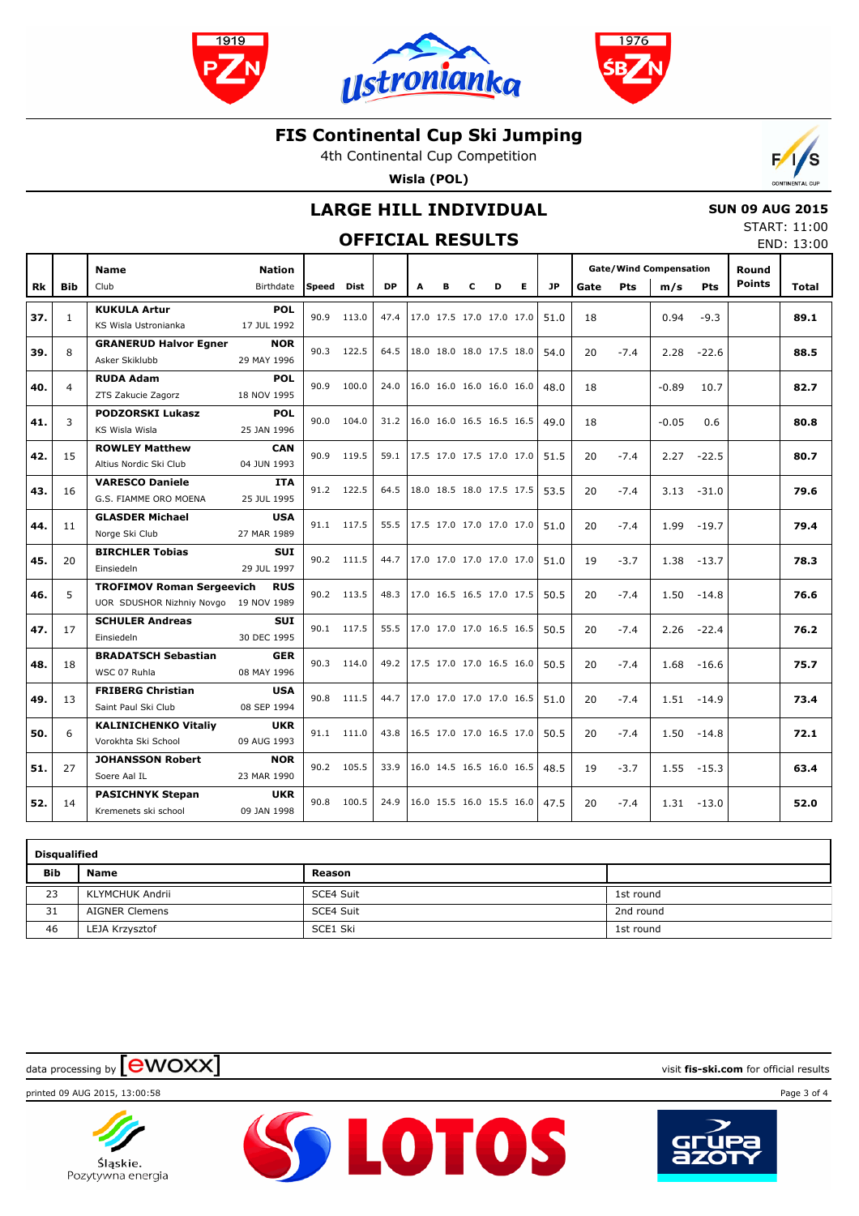





4th Continental Cup Competition

**Wisla (POL)**



## **LARGE HILL INDIVIDUAL**

### **OFFICIAL RESULTS**

 **SUN 09 AUG 2015** START: 11:00 END: 13:00

|     |              | <b>Name</b>                           | <b>Nation</b>             |       |             |           |                          |   |   |   |    |           | <b>Gate/Wind Compensation</b> |        |         | Round      |               |       |
|-----|--------------|---------------------------------------|---------------------------|-------|-------------|-----------|--------------------------|---|---|---|----|-----------|-------------------------------|--------|---------|------------|---------------|-------|
| Rk  | <b>Bib</b>   | Club                                  | Birthdate                 | Speed | <b>Dist</b> | <b>DP</b> | A                        | в | C | D | E. | <b>JP</b> | Gate                          | Pts    | m/s     | <b>Pts</b> | <b>Points</b> | Total |
| 37. |              | <b>KUKULA Artur</b>                   | <b>POL</b>                | 90.9  | 113.0       | 47.4      | 17.0 17.5 17.0 17.0 17.0 |   |   |   |    | 51.0      | 18                            |        | 0.94    | $-9.3$     |               | 89.1  |
|     | $\mathbf{1}$ | KS Wisla Ustronianka                  | 17 JUL 1992               |       |             |           |                          |   |   |   |    |           |                               |        |         |            |               |       |
| 39. | 8            | <b>GRANERUD Halvor Egner</b>          | <b>NOR</b>                |       | 90.3 122.5  | 64.5      | 18.0 18.0 18.0 17.5 18.0 |   |   |   |    | 54.0      | 20                            | $-7.4$ | 2.28    | $-22.6$    |               | 88.5  |
|     |              | Asker Skiklubb                        | 29 MAY 1996               |       |             |           |                          |   |   |   |    |           |                               |        |         |            |               |       |
| 40. | 4            | <b>RUDA Adam</b>                      | <b>POL</b>                |       | 90.9 100.0  | 24.0      | 16.0 16.0 16.0 16.0 16.0 |   |   |   |    | 48.0      | 18                            |        | $-0.89$ | 10.7       |               | 82.7  |
|     |              | ZTS Zakucie Zagorz                    | 18 NOV 1995               |       |             |           |                          |   |   |   |    |           |                               |        |         |            |               |       |
| 41. | 3            | <b>PODZORSKI Lukasz</b>               | <b>POL</b>                |       | 90.0 104.0  | 31.2      | 16.0 16.0 16.5 16.5 16.5 |   |   |   |    | 49.0      | 18                            |        | $-0.05$ | 0.6        |               | 80.8  |
|     |              | KS Wisla Wisla                        | 25 JAN 1996               |       |             |           |                          |   |   |   |    |           |                               |        |         |            |               |       |
| 42. | 15           | <b>ROWLEY Matthew</b>                 | <b>CAN</b>                |       | 90.9 119.5  | 59.1      | 17.5 17.0 17.5 17.0 17.0 |   |   |   |    | 51.5      | 20                            | $-7.4$ | 2.27    | $-22.5$    |               | 80.7  |
|     |              | Altius Nordic Ski Club                | 04 JUN 1993               |       |             |           |                          |   |   |   |    |           |                               |        |         |            |               |       |
| 43. | 16           | <b>VARESCO Daniele</b>                | <b>ITA</b>                |       | 91.2 122.5  | 64.5      | 18.0 18.5 18.0 17.5 17.5 |   |   |   |    | 53.5      | 20                            | $-7.4$ | 3.13    | $-31.0$    |               | 79.6  |
|     |              | G.S. FIAMME ORO MOENA                 | 25 JUL 1995               |       |             |           |                          |   |   |   |    |           |                               |        |         |            |               |       |
| 44. | 11           | <b>GLASDER Michael</b>                | <b>USA</b>                |       | 91.1 117.5  | 55.5      | 17.5 17.0 17.0 17.0 17.0 |   |   |   |    | 51.0      | 20                            | $-7.4$ | 1.99    | $-19.7$    |               | 79.4  |
|     |              | Norge Ski Club                        | 27 MAR 1989               |       |             |           |                          |   |   |   |    |           |                               |        |         |            |               |       |
| 45. | 20           | <b>BIRCHLER Tobias</b><br>Einsiedeln  | <b>SUI</b><br>29 JUL 1997 |       | 90.2 111.5  | 44.7      | 17.0 17.0 17.0 17.0 17.0 |   |   |   |    | 51.0      | 19                            | $-3.7$ | 1.38    | $-13.7$    |               | 78.3  |
|     |              | <b>TROFIMOV Roman Sergeevich</b>      | <b>RUS</b>                |       |             |           |                          |   |   |   |    |           |                               |        |         |            |               |       |
| 46. | 5            | UOR SDUSHOR Nizhniy Novgo 19 NOV 1989 |                           |       | 90.2 113.5  | 48.3      | 17.0 16.5 16.5 17.0 17.5 |   |   |   |    | 50.5      | 20                            | $-7.4$ | 1.50    | $-14.8$    |               | 76.6  |
|     |              | <b>SCHULER Andreas</b>                | <b>SUI</b>                |       |             |           |                          |   |   |   |    |           |                               |        |         |            |               |       |
| 47. | 17           | Einsiedeln                            | 30 DEC 1995               |       | 90.1 117.5  | 55.5      | 17.0 17.0 17.0 16.5 16.5 |   |   |   |    | 50.5      | 20                            | $-7.4$ | 2.26    | $-22.4$    |               | 76.2  |
|     |              | <b>BRADATSCH Sebastian</b>            | <b>GER</b>                |       |             |           |                          |   |   |   |    |           |                               |        |         |            |               |       |
| 48. | 18           | WSC 07 Ruhla                          | 08 MAY 1996               | 90.3  | 114.0       | 49.2      | 17.5 17.0 17.0 16.5 16.0 |   |   |   |    | 50.5      | 20                            | $-7.4$ | 1.68    | $-16.6$    |               | 75.7  |
|     |              | <b>FRIBERG Christian</b>              | <b>USA</b>                |       |             |           |                          |   |   |   |    |           |                               |        |         |            |               |       |
| 49. | 13           | Saint Paul Ski Club                   | 08 SEP 1994               |       | 90.8 111.5  | 44.7      | 17.0 17.0 17.0 17.0 16.5 |   |   |   |    | 51.0      | 20                            | $-7.4$ | 1.51    | $-14.9$    |               | 73.4  |
|     |              | <b>KALINICHENKO Vitaliy</b>           | <b>UKR</b>                |       |             |           |                          |   |   |   |    |           |                               |        |         |            |               |       |
| 50. | 6            | Vorokhta Ski School                   | 09 AUG 1993               |       | 91.1 111.0  | 43.8      | 16.5 17.0 17.0 16.5 17.0 |   |   |   |    | 50.5      | 20                            | $-7.4$ | 1.50    | $-14.8$    |               | 72.1  |
|     |              | <b>JOHANSSON Robert</b>               | <b>NOR</b>                |       | 90.2 105.5  | 33.9      | 16.0 14.5 16.5 16.0 16.5 |   |   |   |    |           |                               |        |         |            |               |       |
| 51. | 27           | Soere Aal IL                          | 23 MAR 1990               |       |             |           |                          |   |   |   |    | 48.5      | 19                            | $-3.7$ | 1.55    | $-15.3$    |               | 63.4  |
| 52. | 14           | <b>PASICHNYK Stepan</b>               | <b>UKR</b>                | 90.8  | 100.5       | 24.9      | 16.0 15.5 16.0 15.5 16.0 |   |   |   |    | 47.5      | 20                            | $-7.4$ | 1.31    | $-13.0$    |               | 52.0  |
|     |              | Kremenets ski school                  | 09 JAN 1998               |       |             |           |                          |   |   |   |    |           |                               |        |         |            |               |       |

|     | <b>Disqualified</b>   |           |           |  |  |  |  |  |  |  |  |  |  |
|-----|-----------------------|-----------|-----------|--|--|--|--|--|--|--|--|--|--|
| Bib | <b>Name</b>           | Reason    |           |  |  |  |  |  |  |  |  |  |  |
| 23  | KLYMCHUK Andrii       | SCE4 Suit | 1st round |  |  |  |  |  |  |  |  |  |  |
| 31  | <b>AIGNER Clemens</b> | SCE4 Suit | 2nd round |  |  |  |  |  |  |  |  |  |  |
| 46  | LEJA Krzysztof        | SCE1 Ski  | 1st round |  |  |  |  |  |  |  |  |  |  |

**SS LOTOS** 

data processing by **CWOXX** and  $\blacksquare$  and  $\blacksquare$  and  $\blacksquare$  and  $\blacksquare$  and  $\blacksquare$  and  $\blacksquare$  and  $\blacksquare$  and  $\blacksquare$  and  $\blacksquare$  and  $\blacksquare$  and  $\blacksquare$  and  $\blacksquare$  and  $\blacksquare$  and  $\blacksquare$  and  $\blacksquare$  and  $\blacksquare$  and  $\blacksquare$  and  $\blacks$